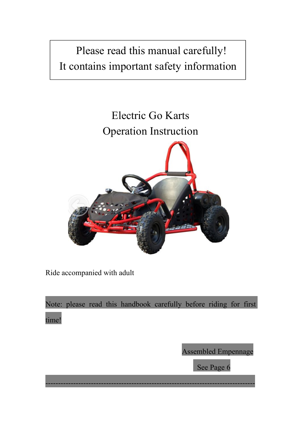# Please read this manual carefully! It contains important safety information

# Electric Go Karts Operation Instruction



Ride accompanied with adult

Note: please read this handbook carefully before riding for first time!

-----------------------------------------------------------------------------------

Assembled Empennage

See Page 6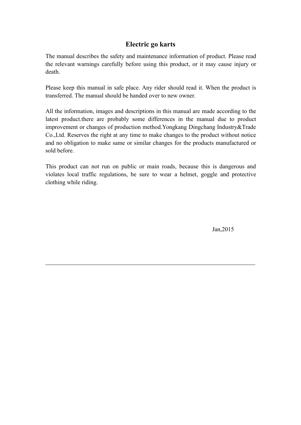## **Electric go karts**

The manual describes the safety and maintenance information of product. Please read the relevant warnings carefully before using this product, or it may cause injury or death.

Please keep this manual in safe place. Any rider should read it. When the product is transferred. The manual should be handed over to new owner.

All the information, images and descriptions in this manual are made according to the latest product.there are probably some differences in the manual due to product improvement or changes of production method.Yongkang Dingchang Industry&Trade Co.,Ltd. Reserves the right atany time to make changes to the product without notice and no obligation to make same or similar changes for the products manufactured or sold before.

This product can not run on public or main roads, because this is dangerous and violates local traffic regulations, be sure to wear a helmet, goggle and protective clothing while riding.

Jan,2015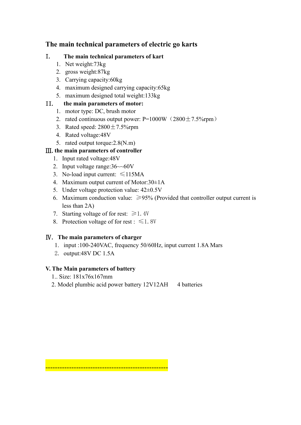## **The main technical parameters of electric go karts**

### I. **The main technical parameters of kart**

- 1. Net weight:73kg
- 2. gross weight:87kg
- 3. Carrying capacity:60kg
- 4. maximum designed carrying capacity:65kg
- 5. maximum designed total weight:133kg

## II. the main parameters of motor:

- 1. motor type: DC, brush motor
- 2. rated continuous output power:  $P=1000W(2800 \pm 7.5\%$ rpm)
- 3. Rated speed:  $2800 \pm 7.5\%$ rpm
- 4. Rated voltage:48V
- 5. rated output torque:2.8(N.m)

## Ⅲ.**the main parameters of controller**

- 1. Input rated voltage:48V
- 2. Input voltage range:36~~60V
- 3. No-load input current: ≤115MA
- 4. Maximum output current of Motor:30±1A
- 5. Under voltage protection value:  $42\pm0.5V$
- 6. Maximum conduction value:  $\geq$ 95% (Provided that controller output current is less than 2A)
- 7. Starting voltage of for rest:  $\geq 1.4V$
- 8. Protection voltage of for rest :  $\leq 1.8V$

----------------------------------------------------

### Ⅳ. **The main parameters of charger**

- 1. input :100-240VAC, frequency 50/60Hz, input current 1.8A Mars
- 2. output:48V DC 1.5A

### **V. The Main parameters of battery**

- 1.. Size: 181x76x167mm
- 2. Model plumbic acid power battery 12V12AH 4 batteries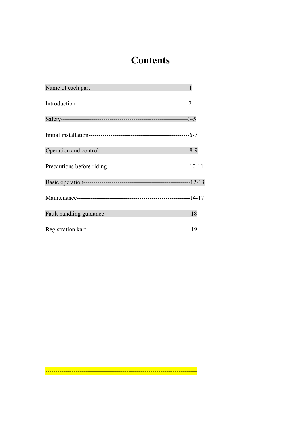# **Contents**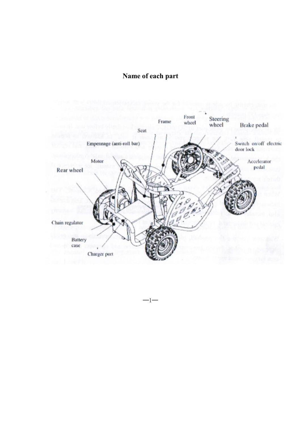# **Name of each part**



 $-1-$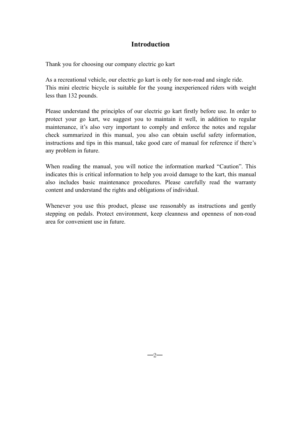## **Introduction**

Thank you for choosing our company electric go kart

As a recreational vehicle, our electric go kart is only for non-road and single ride. This mini electric bicycle is suitable for the young inexperienced riders with weight less than 132 pounds.

Please understand the principles of our electric go kart firstly before use. In order to protect your go kart, we suggest you to maintain it well, in addition to regular maintenance, it's also very important to comply and enforce the notes and regular check summarized in this manual, you also can obtain useful safety information, instructions and tips in this manual, take good care of manual for reference if there's any problem in future.

When reading the manual, you will notice the information marked "Caution". This indicates this is critical information to help you avoid damage to the kart, this manual also includes basic maintenance procedures. Please carefully read the warranty content and understand the rights and obligations of individual.

Whenever you use this product, please use reasonably as instructions and gently stepping on pedals. Protect environment, keep cleanness and openness of non-road area for convenient use in future.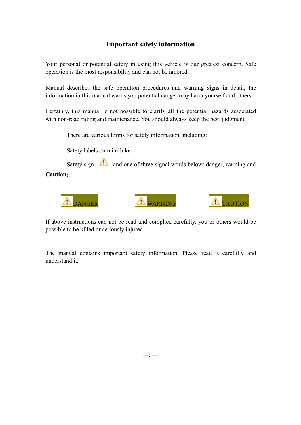# **Important safety information**

Your personal or potential safety in using this vehicle is our greatest concern. Safe operation is the most responsibility and can not be ignored.

Manual describes the safe operation procedures and warning signs in detail, the information in this manual warns you potential danger may harm yourself andothers.

Certainly, this manual is not possible to clarify all the potential hazards associated with non-road riding and maintenance. You should always keep the best judgment.

There are various forms for safety information, including:

Safety labels on mini-bike

Safety sign  $\sum$  and one of three signal words below: danger, warning and **Caution**:



If above instructions can not be read and complied carefully, you or others would be possible to be killed or seriously injured.

The manual contains important safety information. Please read it carefully and understand it.

─3─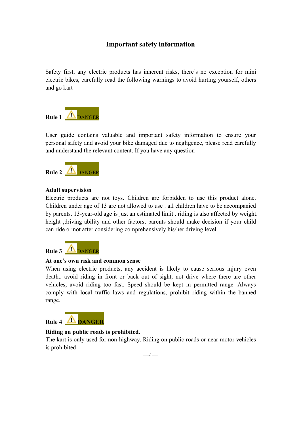# **Important safety information**

Safety first, any electric products has inherent risks, there's no exception for mini electric bikes, carefully read the following warnings to avoid hurting yourself, others and go kart



User guide contains valuable and important safety information to ensure your personal safety and avoid your bike damaged due to negligence, please read carefully and understand the relevant content. If you have any question



### **Adult supervision**

Electric products are not toys. Children are forbidden to use this product alone. Children under age of 13 are not allowed to use . all children have to be accompanied by parents. 13-year-old age is just an estimated limit . riding is also affected by weight. height ,driving ability and other factors, parents should make decision if your child can ride or not after considering comprehensively his/her driving level.



#### **At one's own risk and common sense**

When using electric products, any accident is likely to cause serious injury even death.. avoid riding in front or back out of sight, not drive where there are other vehicles, avoid riding too fast. Speed should be kept in permitted range. Always comply with local traffic laws and regulations, prohibit riding within the banned range.



#### **Riding on public roads is prohibited.**

The kart is only used for non-highway. Riding on public roads or near motor vehicles is prohibited

─4─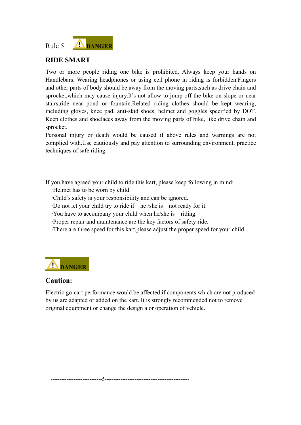

# **RIDE SMART**

Two or more people riding one bike is prohibited. Always keep your hands on Handlebars. Wearing headphones or using cell phone in riding is forbidden.Fingers and other parts of body should be away from the moving parts,such as drive chain and sprocket, which may cause injury.It's not allow to jump off the bike on slope or near stairs,ride near pond or fountain.Related riding clothes should be kept wearing, including gloves, knee pad, anti-skid shoes, helmet and goggles specified by DOT. Keep clothes and shoelaces away from the moving parts of bike, like drive chain and sprocket.

Personal injury or death would be caused if above rules and warnings are not complied with.Use cautiously and pay attention to surrounding environment, practice techniques of safe riding.

If you have agreed your child to ride this kart, please keep following in mind:

- ·Helmet has to be worn by child.
- ·Child's safety is your responsibility and can be ignored.
- ·Do not let your child try to ride if he /she is not ready for it.
- ·You have to accompany your child when he/she is riding.
- ·Proper repair and maintenance are the key factors of safety ride.

·There are three speed for this kart,please adjust the proper speed for your child.



### **Caution:**

Electric go-cart performance would be affected if components which are not produced by us are adapted or added on the kart. It is strongly recommended not to remove original equipment or change the design a or operation of vehicle.

-----------------------------5------------------------------------------------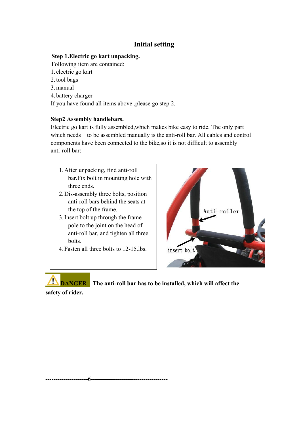# **Initial setting**

### **Step 1.Electric go kart unpacking.**

Following item are contained:

- 1. electric go kart
- 2.tool bags
- 3.manual
- 4. battery charger

If you have found all items above ,please go step 2.

### **Step2 Assembly handlebars.**

Electric go kart is fully assembled,which makes bike easy to ride. The only part which needs to be assembled manually is the anti-roll bar. All cables and control components have been connected to the bike,so it is not difficult to assembly anti-roll bar:

- 1.After unpacking, find anti-roll bar.Fix bolt in mounting hole with three ends.
- 2.Dis-assembly three bolts, position anti-roll bars behind the seats at the top of the frame.
- 3.Insert bolt up through the frame pole to the joint on the head of anti-roll bar, and tighten all three bolts.
- 4. Fasten all three bolts to 12-15.lbs. <br>insert bolt

**---------------------6--------------------------------------**



**DANGER The anti-roll bar has to be installed, which will affect the**

**safety of rider.**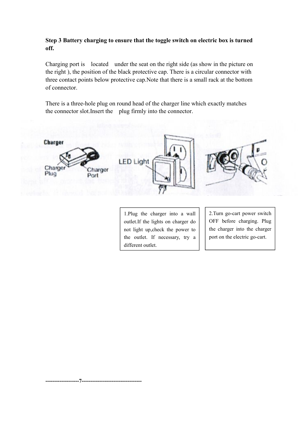### **Step 3 Battery charging to ensure that the toggle switch on electric box is turned off.**

Charging port is located under the seat on the right side (as show in the picture on the right ), the position of the black protective cap. There is a circular connector with three contact points below protective cap. Note that there is a small rack at the bottom of connector.

There is a three-hole plug on round head of the charger line which exactly matches the connector slot.Insert the plug firmly into the connector.



1.Plug the charger into a wall outlet.If the lights on charger do not light up,check the power to the outlet. If necessary, try a different outlet.

**-------------------7----------------------------------**

2.Turn go-cart power switch OFF before charging. Plug the charger into the charger port on the electric go-cart.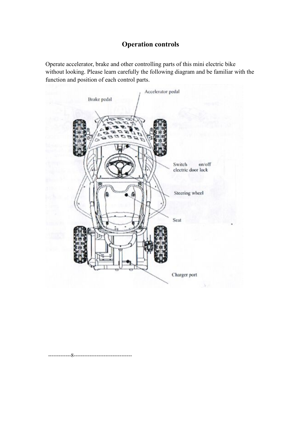# **Operation controls**

Operate accelerator, brake and other controlling parts of this mini electric bike without looking. Please learn carefully the following diagram and be familiar with the function and position of each control parts.



-------------8---------------------------------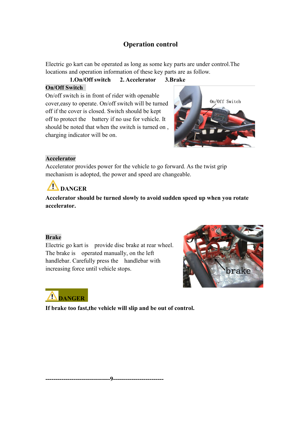# **Operation control**

Electric go kart can be operated as long as some key parts are under control.The locations and operation information of these key parts are as follow.

**1.On/Off switch 2. Accelerator 3.Brake On/Off Switch**

On/off switch is in front of rider with openable<br>  $\frac{On/off}{On/off}$  Switch cover,easy to operate. On/off switch will be turned off if the cover is closed. Switch should be kept off to protect the battery if no use for vehicle. It should be noted that when the switch is turned on , charging indicator will be on.



### **Accelerator**

Accelerator provides power for the vehicle to go forward. As the twist grip mechanism is adopted, the power and speed are changeable.

# **DANGER**

**Accelerator should be turned slowly to avoid sudden speed up when you rotate accelerator.**

### **Brake**

Electric go kart is provide disc brake at rear wheel. The brake is operated manually, on the left handlebar. Carefully press the handlebar with increasing force until vehicle stops.

**--------------------------------9-------------------------**





**If brake too fast,the vehicle will slip and be out of control.**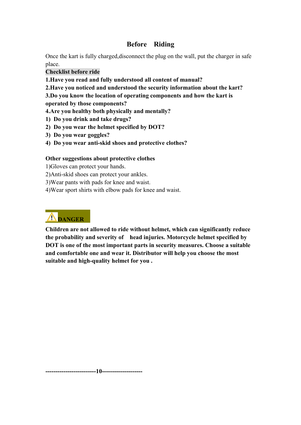# **Before Riding**

Once the kart is fully charged,disconnect the plug on the wall, put the charger in safe place.

### **Checklist before ride**

**1.Have you read and fully understood all content of manual?**

**2.Have you noticed and understood the security information about the kart?**

**3.Do you know the location of operating components and how the kartis**

**operated by those components?**

**4.Are you healthy both physically and mentally?**

- **1) Do you drink and take drugs?**
- **2) Do you wear the helmet specified by DOT?**
- **3) Do you wear goggles?**
- **4) Do you wear anti-skid shoes and protective clothes?**

### **Other suggestions about protective clothes**

1)Gloves can protect your hands.

2)Anti-skid shoes can protect your ankles.

3)Wear pants with pads for knee and waist.

4)Wear sport shirts with elbow pads for knee and waist.

# **DANGER**

**Children are not allowed to ride without helmet, which can significantly reduce the probability and severity of head injuries. Motorcycle helmet specified by DOT is one of the most important parts in security measures. Choose a suitable and comfortable one and wear it. Distributor will help you choose the most** suitable and high-quality helmet for you.

**-------------------------10--------------------**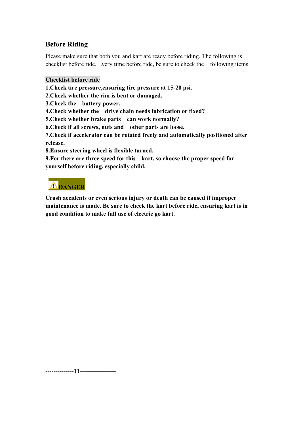# **Before Riding**

Please make sure that both you and kart are ready before riding. The following is checklist before ride. Every time before ride, be sure to check the following items.

### **Checklist before ride**

**1.Check tire pressure,ensuring tire pressure at 15-20 psi.**

- **2.Check whether the rim is bent or damaged.**
- **3.Check the battery power.**
- **4.Check whether the drive chain needs lubrication or fixed?**
- **5.Check whether brake parts can work normally?**
- **6.Check if all screws, nuts and other parts are loose.**

**7.Check if accelerator can be rotated freely and automatically positioned after release.**

**8.Ensure steering wheel is flexible turned.**

**9.For there are three speed for this kart, so choose the proper speed for yourself before riding, especially child.**

# **DANGER**

**Crash accidents or even serious injury or death can be caused if improper maintenance is made. Be sure to check the kartbefore ride, ensuring kart is in good condition to make fulluse of electric go kart.**

**--------------11------------------**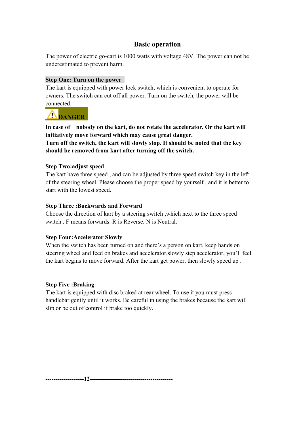# **Basic operation**

The power of electric go-cart is 1000 watts with voltage 48V. The power can not be underestimated to prevent harm.

### **Step One: Turn on the power**

The kart is equipped with power lock switch, which is convenient to operate for owners. The switch can cut off all power. Turn on the switch, the power will be connected.

# **DANGER**

**In case of nobody on the kart, do not rotate the accelerator. Or the kartwill initiatively move forward which may cause great danger. Turn off the switch, the kartwill slowly stop. It should be noted that the key**

**should be removed from kart after turning off the switch.**

### **Step Two:adjust speed**

The kart have three speed , and can be adjusted by three speed switch key in the left of the steering wheel. Please choose the proper speed by yourself , and it is better to start with the lowest speed.

### **Step Three :Backwards and Forward**

Choose the direction of kart by a steering switch ,which next to the three speed switch . F means forwards. R is Reverse. N is Neutral.

### **Step Four:Accelerator Slowly**

When the switch has been turned on and there's a person on kart, keep hands on steering wheel and feed on brakes and accelerator,slowly step accelerator, you'll feel the kart begins to move forward. After the kart get power, then slowly speed up .

### **Step Five:Braking**

The kart is equipped with disc braked at rear wheel. To use it you must press handlebar gently until it works. Be careful in using the brakes because the kart will slip or be out of control if brake too quickly.

**-------------------12-----------------------------------------**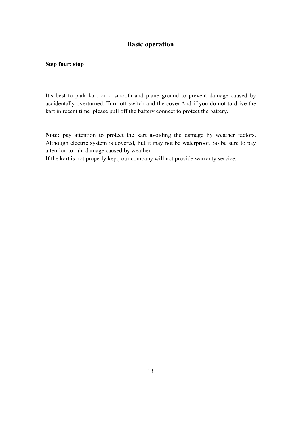## **Basic operation**

#### **Step four: stop**

It's best to park kart on a smooth and plane ground to prevent damage caused by accidentally overturned. Turn off switch and the cover.And if you do not to drive the kart in recent time ,please pull off the battery connect to protect the battery.

**Note:** pay attention to protect the kart avoiding the damage by weather factors. Although electric system is covered, but it may not be waterproof. So be sure to pay attention to rain damage caused by weather.

If the kart is not properly kept, our company will not provide warranty service.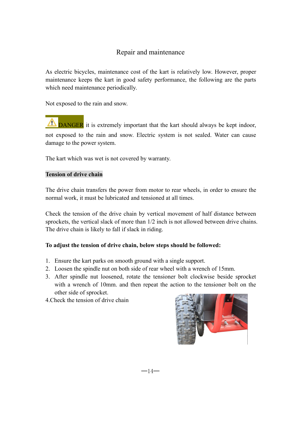As electric bicycles, maintenance cost of the kart is relatively low. However, proper maintenance keeps the kart in good safety performance, the following are the parts which need maintenance periodically.

Not exposed to the rain and snow.

**TO DANGER** it is extremely important that the kart should always be kept indoor, not exposed to the rain and snow. Electric system is not sealed. Water can cause damage to the power system.

The kart which was wet is not covered by warranty.

### **Tension of drive chain**

The drive chain transfers the power from motor to rear wheels, in order to ensure the normal work, it must be lubricated and tensioned at all times.

Check the tension of the drive chain by vertical movement of half distance between sprockets, the vertical slack of more than 1/2 inch is not allowed between drive chains. The drive chain is likely to fall if slack in riding.

### **To adjust the tension of drive chain, below steps should be followed:**

- 1. Ensure the kart parks on smooth ground with a single support.
- 2. Loosen the spindle nut on both side of rear wheel with a wrench of 15mm.
- 3. After spindle nut loosened, rotate the tensioner bolt clockwise beside sprocket with a wrench of 10mm. and then repeat the action to the tensioner bolt on the other side of sprocket.
- 4.Check the tension of drive chain

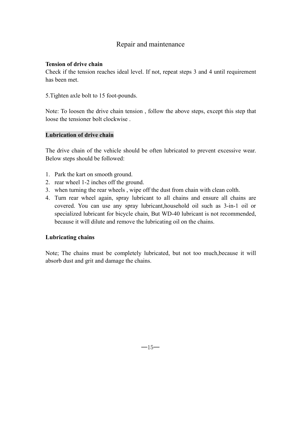#### **Tension of drive chain**

Check if the tension reaches ideal level. If not, repeat steps 3 and 4 until requirement has been met.

5.Tighten axle bolt to 15 foot-pounds.

Note: To loosen the drive chain tension , follow the above steps, except this step that loose the tensioner bolt clockwise .

### **Lubrication of drive chain**

The drive chain of the vehicle should be often lubricated to prevent excessive wear. Below steps should be followed:

- 1. Park the kart on smooth ground.
- 2. rear wheel 1-2 inches off the ground.
- 3. when turning the rear wheels , wipe off the dust from chain with clean colth.
- 4. Turn rear wheel again, spray lubricant to all chains and ensure all chains are covered. You can use any spray lubricant,household oil such as 3-in-1 oil or specialized lubricant for bicycle chain, But WD-40 lubricant is not recommended, because it will dilute and remove the lubricating oil on the chains.

### **Lubricating chains**

Note; The chains must be completely lubricated, but not too much,because it will absorb dust and grit and damage the chains.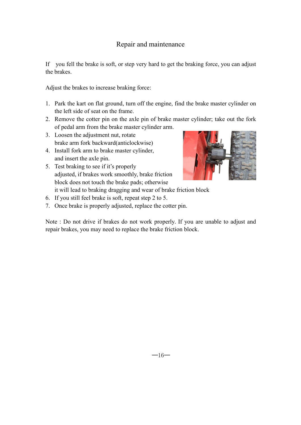If you fell the brake is soft, or step very hard to get the braking force, you can adjust the brakes.

Adjust the brakes to increase braking force:

- 1. Park the kart on flat ground, turn off the engine, find the brake master cylinder on the left side of seat on the frame.
- 2. Remove the cotter pin on the axle pin of brake master cylinder; take out the fork of pedal arm from the brake master cylinder arm.
- 3. Loosen the adjustment nut, rotate brake arm fork backward(anticlockwise)
- 4. Install fork arm to brake master cylinder, and insert the axle pin.
- 5. Test braking to see if it's properly adjusted, if brakes work smoothly, brake friction block does not touch the brake pads; otherwise



- it will lead to braking dragging and wear of brake friction block
- 6. If you still feel brake is soft, repeat step 2 to 5.
- 7. Once brake is properly adjusted, replace the cotter pin.

Note : Do not drive if brakes do not work properly. If you are unable to adjust and repair brakes, you may need to replace the brake friction block.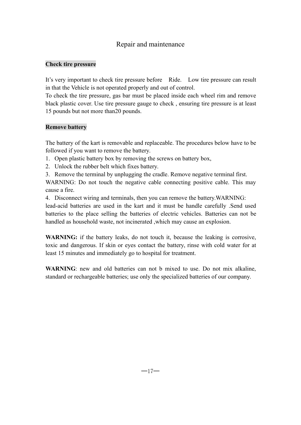### **Check tire pressure**

It's very important to check tire pressure before Ride. Low tire pressure can result in that the Vehicle is not operated properly and out of control.

To check the tire pressure, gas bar must be placed inside each wheel rim and remove black plastic cover. Use tire pressure gauge to check , ensuring tire pressure is at least 15 pounds but not more than20 pounds.

#### **Remove battery**

The battery of the kart is removable and replaceable. The procedures below have to be followed if you want to remove the battery.

- 1. Open plastic battery box by removing the screws on battery box,
- 2. Unlock the rubber belt which fixes battery.
- 3. Remove the terminal by unplugging the cradle. Remove negative terminal first.

WARNING: Do not touch the negative cable connecting positive cable. This may cause a fire.

4. Disconnect wiring and terminals, then you can remove the battery.WARNING:

lead-acid batteries are used in the kart and it must be handle carefully .Send used batteries to the place selling the batteries of electric vehicles. Batteries can not be handled as household waste, not incinerated ,which may cause an explosion.

**WARNING:** if the battery leaks, do not touch it, because the leaking is corrosive, toxic and dangerous.If skin or eyes contact the battery, rinse with cold water for at least 15 minutes and immediately go to hospital for treatment.

**WARNING**: new and old batteries can not b mixed to use. Do not mix alkaline, standard or rechargeable batteries; use only the specialized batteries of our company.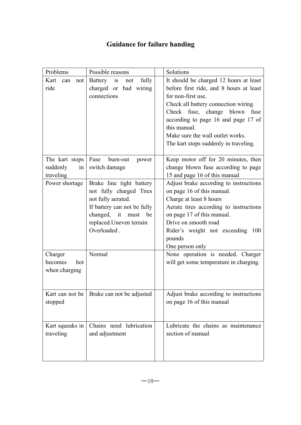# **Guidance for failure handing**

| Problems           | Possible reasons            | Solutions                               |
|--------------------|-----------------------------|-----------------------------------------|
| Kart<br>can<br>not | Battery is<br>fully<br>not  | It should be charged 12 hours at least  |
| ride               | charged or bad wiring       | before first ride, and 8 hours at least |
|                    | connections                 | for non-first use.                      |
|                    |                             | Check all battery connection wiring     |
|                    |                             | Check fuse, change blown fuse           |
|                    |                             | according to page 16 and page 17 of     |
|                    |                             | this manual.                            |
|                    |                             | Make sure the wall outlet works.        |
|                    |                             | The kart stops suddenly in traveling.   |
| The kart stops     | Fuse<br>burn-out<br>power   | Keep motor off for 20 minutes, then     |
| suddenly<br>in     | switch damage               | change blown fuse according to page     |
| traveling          |                             | 15 and page 16 of this manual           |
| Power shortage     | Brake line tight battery    | Adjust brake according to instructions  |
|                    | not fully charged Tires     | on page 16 of this manual.              |
|                    | not fully aerated.          | Charge at least 8 hours                 |
|                    | If battery can not be fully | Aerate tires according to instructions  |
|                    | changed, it must be         | on page 17 of this manual.              |
|                    | replaced. Uneven terrain    | Drive on smooth road                    |
|                    | Overloaded.                 | Rider's weight not exceeding 100        |
|                    |                             | pounds                                  |
|                    |                             | One person only                         |
| Charger            | Normal                      | None operation is needed. Charger       |
| becomes<br>hot     |                             | will get some temperature in charging.  |
| when charging      |                             |                                         |
|                    |                             |                                         |
| Kart can not be    | Brake can not be adjusted   | Adjust brake according to instructions  |
| stopped            |                             | on page 16 of this manual               |
|                    |                             |                                         |
| Kart squeaks in    | Chains need lubrication     | Lubricate the chains as maintenance     |
| traveling          | and adjustment              | section of manual                       |
|                    |                             |                                         |
|                    |                             |                                         |
|                    |                             |                                         |